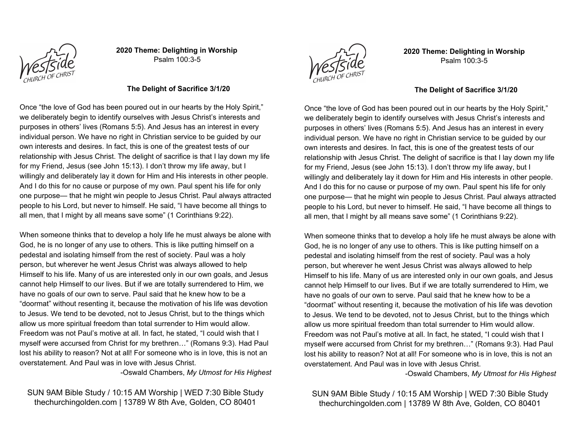

**2020 Theme: Delighting in Worship** Psalm 100:3-5



**2020 Theme: Delighting in Worship** Psalm 100:3-5

#### **The Delight of Sacrifice 3/1/20**

Once "the love of God has been poured out in our hearts by the Holy Spirit," we deliberately begin to identify ourselves with Jesus Christ's interests and purposes in others' lives (Romans 5:5). And Jesus has an interest in every individual person. We have no right in Christian service to be guided by our own interests and desires. In fact, this is one of the greatest tests of our relationship with Jesus Christ. The delight of sacrifice is that I lay down my life for my Friend, Jesus (see John 15:13). I don't throw my life away, but I willingly and deliberately lay it down for Him and His interests in other people. And I do this for no cause or purpose of my own. Paul spent his life for only one purpose— that he might win people to Jesus Christ. Paul always attracted people to his Lord, but never to himself. He said, "I have become all things to all men, that I might by all means save some" (1 Corinthians 9:22).

When someone thinks that to develop a holy life he must always be alone with God, he is no longer of any use to others. This is like putting himself on a pedestal and isolating himself from the rest of society. Paul was a holy person, but wherever he went Jesus Christ was always allowed to help Himself to his life. Many of us are interested only in our own goals, and Jesus cannot help Himself to our lives. But if we are totally surrendered to Him, we have no goals of our own to serve. Paul said that he knew how to be a "doormat" without resenting it, because the motivation of his life was devotion to Jesus. We tend to be devoted, not to Jesus Christ, but to the things which allow us more spiritual freedom than total surrender to Him would allow. Freedom was not Paul's motive at all. In fact, he stated, "I could wish that I myself were accursed from Christ for my brethren…" (Romans 9:3). Had Paul lost his ability to reason? Not at all! For someone who is in love, this is not an overstatement. And Paul was in love with Jesus Christ.

-Oswald Chambers, *My Utmost for His Highest*

SUN 9AM Bible Study / 10:15 AM Worship | WED 7:30 Bible Study thechurchingolden.com | 13789 W 8th Ave, Golden, CO 80401

#### **The Delight of Sacrifice 3/1/20**

Once "the love of God has been poured out in our hearts by the Holy Spirit," we deliberately begin to identify ourselves with Jesus Christ's interests and purposes in others' lives (Romans 5:5). And Jesus has an interest in every individual person. We have no right in Christian service to be guided by our own interests and desires. In fact, this is one of the greatest tests of our relationship with Jesus Christ. The delight of sacrifice is that I lay down my life for my Friend, Jesus (see John 15:13). I don't throw my life away, but I willingly and deliberately lay it down for Him and His interests in other people. And I do this for no cause or purpose of my own. Paul spent his life for only one purpose— that he might win people to Jesus Christ. Paul always attracted people to his Lord, but never to himself. He said, "I have become all things to all men, that I might by all means save some" (1 Corinthians 9:22).

When someone thinks that to develop a holy life he must always be alone with God, he is no longer of any use to others. This is like putting himself on a pedestal and isolating himself from the rest of society. Paul was a holy person, but wherever he went Jesus Christ was always allowed to help Himself to his life. Many of us are interested only in our own goals, and Jesus cannot help Himself to our lives. But if we are totally surrendered to Him, we have no goals of our own to serve. Paul said that he knew how to be a "doormat" without resenting it, because the motivation of his life was devotion to Jesus. We tend to be devoted, not to Jesus Christ, but to the things which allow us more spiritual freedom than total surrender to Him would allow. Freedom was not Paul's motive at all. In fact, he stated, "I could wish that I myself were accursed from Christ for my brethren…" (Romans 9:3). Had Paul lost his ability to reason? Not at all! For someone who is in love, this is not an overstatement. And Paul was in love with Jesus Christ.

-Oswald Chambers, *My Utmost for His Highest*

# SUN 9AM Bible Study / 10:15 AM Worship | WED 7:30 Bible Study thechurchingolden.com | 13789 W 8th Ave, Golden, CO 80401